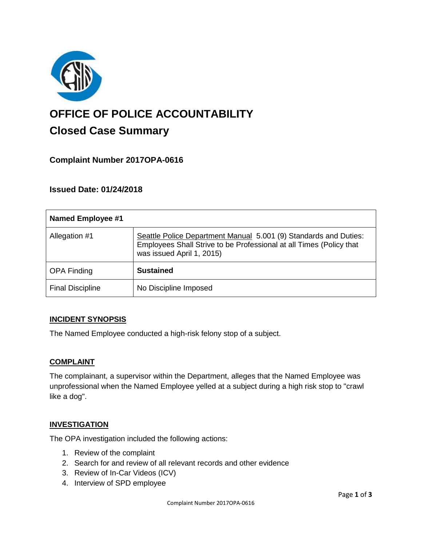

# **OFFICE OF POLICE ACCOUNTABILITY**

# **Closed Case Summary**

## **Complaint Number 2017OPA-0616**

### **Issued Date: 01/24/2018**

| <b>Named Employee #1</b> |                                                                                                                                                                      |
|--------------------------|----------------------------------------------------------------------------------------------------------------------------------------------------------------------|
| Allegation #1            | Seattle Police Department Manual 5.001 (9) Standards and Duties:<br>Employees Shall Strive to be Professional at all Times (Policy that<br>was issued April 1, 2015) |
| <b>OPA Finding</b>       | <b>Sustained</b>                                                                                                                                                     |
| <b>Final Discipline</b>  | No Discipline Imposed                                                                                                                                                |

#### **INCIDENT SYNOPSIS**

The Named Employee conducted a high-risk felony stop of a subject.

#### **COMPLAINT**

The complainant, a supervisor within the Department, alleges that the Named Employee was unprofessional when the Named Employee yelled at a subject during a high risk stop to "crawl like a dog".

#### **INVESTIGATION**

The OPA investigation included the following actions:

- 1. Review of the complaint
- 2. Search for and review of all relevant records and other evidence
- 3. Review of In-Car Videos (ICV)
- 4. Interview of SPD employee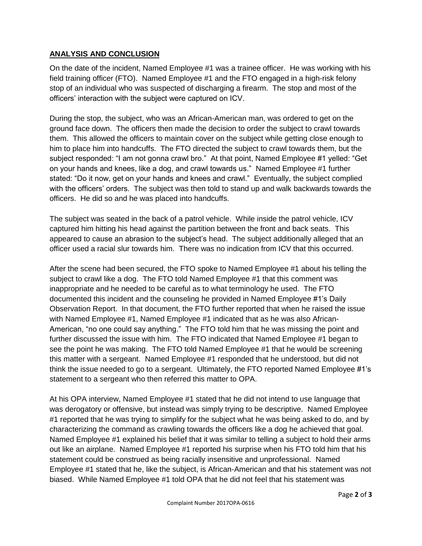#### **ANALYSIS AND CONCLUSION**

On the date of the incident, Named Employee #1 was a trainee officer. He was working with his field training officer (FTO). Named Employee #1 and the FTO engaged in a high-risk felony stop of an individual who was suspected of discharging a firearm. The stop and most of the officers' interaction with the subject were captured on ICV.

During the stop, the subject, who was an African-American man, was ordered to get on the ground face down. The officers then made the decision to order the subject to crawl towards them. This allowed the officers to maintain cover on the subject while getting close enough to him to place him into handcuffs. The FTO directed the subject to crawl towards them, but the subject responded: "I am not gonna crawl bro." At that point, Named Employee #1 yelled: "Get on your hands and knees, like a dog, and crawl towards us." Named Employee #1 further stated: "Do it now, get on your hands and knees and crawl." Eventually, the subject complied with the officers' orders. The subject was then told to stand up and walk backwards towards the officers. He did so and he was placed into handcuffs.

The subject was seated in the back of a patrol vehicle. While inside the patrol vehicle, ICV captured him hitting his head against the partition between the front and back seats. This appeared to cause an abrasion to the subject's head. The subject additionally alleged that an officer used a racial slur towards him. There was no indication from ICV that this occurred.

After the scene had been secured, the FTO spoke to Named Employee #1 about his telling the subject to crawl like a dog. The FTO told Named Employee #1 that this comment was inappropriate and he needed to be careful as to what terminology he used. The FTO documented this incident and the counseling he provided in Named Employee #1's Daily Observation Report. In that document, the FTO further reported that when he raised the issue with Named Employee #1, Named Employee #1 indicated that as he was also African-American, "no one could say anything." The FTO told him that he was missing the point and further discussed the issue with him. The FTO indicated that Named Employee #1 began to see the point he was making. The FTO told Named Employee #1 that he would be screening this matter with a sergeant. Named Employee #1 responded that he understood, but did not think the issue needed to go to a sergeant. Ultimately, the FTO reported Named Employee #1's statement to a sergeant who then referred this matter to OPA.

At his OPA interview, Named Employee #1 stated that he did not intend to use language that was derogatory or offensive, but instead was simply trying to be descriptive. Named Employee #1 reported that he was trying to simplify for the subject what he was being asked to do, and by characterizing the command as crawling towards the officers like a dog he achieved that goal. Named Employee #1 explained his belief that it was similar to telling a subject to hold their arms out like an airplane. Named Employee #1 reported his surprise when his FTO told him that his statement could be construed as being racially insensitive and unprofessional. Named Employee #1 stated that he, like the subject, is African-American and that his statement was not biased. While Named Employee #1 told OPA that he did not feel that his statement was